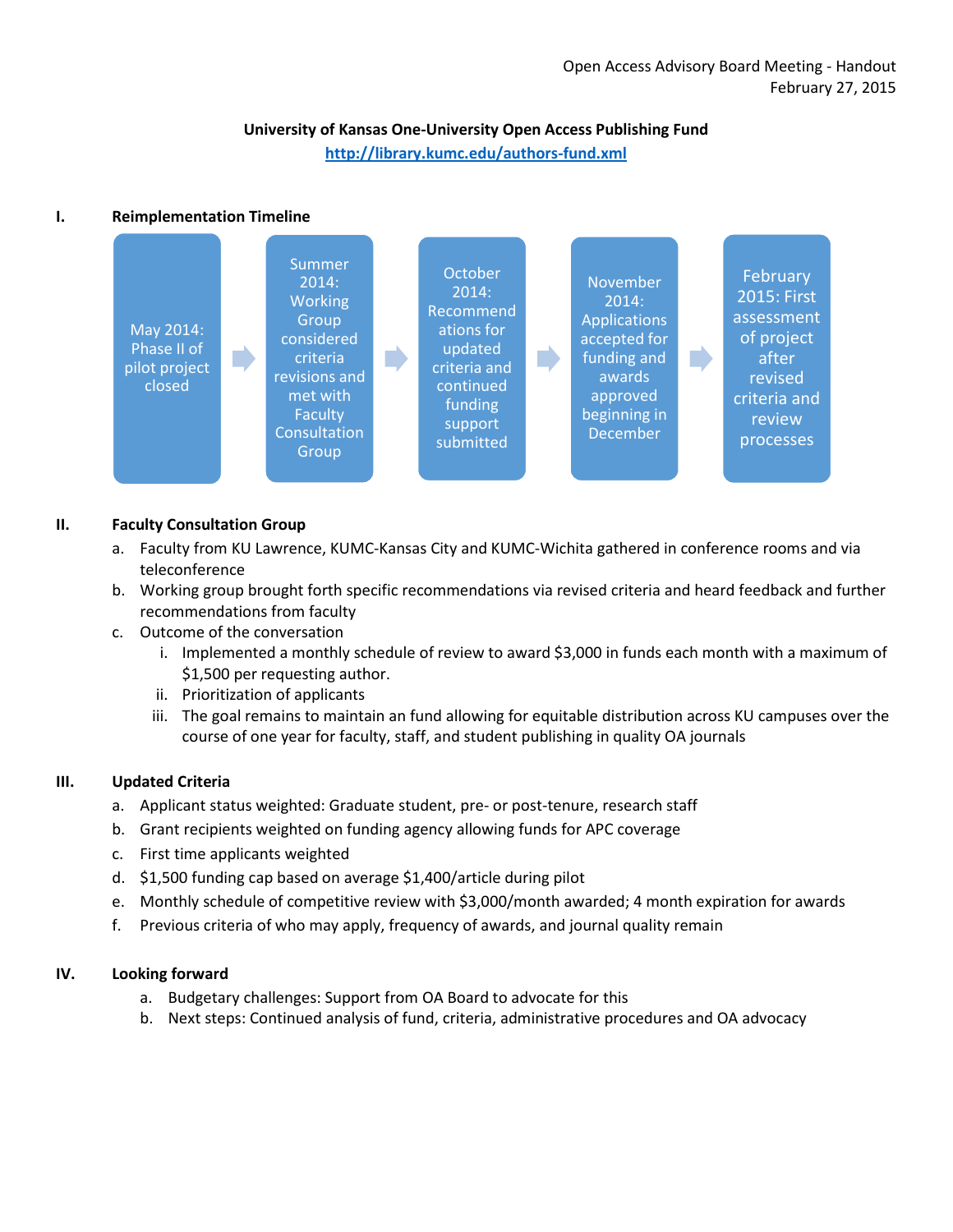# **University of Kansas One-University Open Access Publishing Fund <http://library.kumc.edu/authors-fund.xml>**

# **I. Reimplementation Timeline**



### **II. Faculty Consultation Group**

- a. Faculty from KU Lawrence, KUMC-Kansas City and KUMC-Wichita gathered in conference rooms and via teleconference
- b. Working group brought forth specific recommendations via revised criteria and heard feedback and further recommendations from faculty
- c. Outcome of the conversation
	- i. Implemented a monthly schedule of review to award \$3,000 in funds each month with a maximum of \$1,500 per requesting author.
	- ii. Prioritization of applicants
	- iii. The goal remains to maintain an fund allowing for equitable distribution across KU campuses over the course of one year for faculty, staff, and student publishing in quality OA journals

## **III. Updated Criteria**

- a. Applicant status weighted: Graduate student, pre- or post-tenure, research staff
- b. Grant recipients weighted on funding agency allowing funds for APC coverage
- c. First time applicants weighted
- d. \$1,500 funding cap based on average \$1,400/article during pilot
- e. Monthly schedule of competitive review with \$3,000/month awarded; 4 month expiration for awards
- f. Previous criteria of who may apply, frequency of awards, and journal quality remain

#### **IV. Looking forward**

- a. Budgetary challenges: Support from OA Board to advocate for this
- b. Next steps: Continued analysis of fund, criteria, administrative procedures and OA advocacy